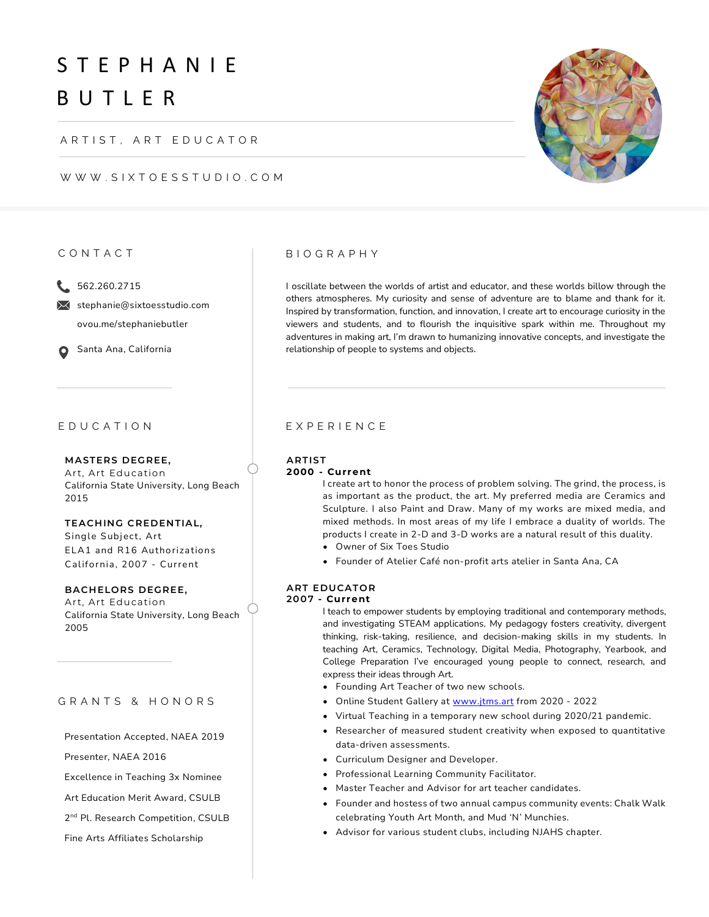# S T E P H A N I E B U T L E R

ARTIST, ART EDUCATOR

WWW.SIXTOESSTUDIO.COM

#### C O N T A C T

15 562.260.2715

 $\bowtie$  stephanie@sixtoesstudio.com ovou.me/stephaniebutler

**O** Santa Ana, California

### E D U C A T I O N

**M ASTERS DEGREE,**  Art, Art Education California State University, Long Beach 2015

**TEACHING CREDENTIAL,**  Single Subject, Art ELA1 and R16 Authorizations California, 2007 - Current

**BACHELORS DEGREE,**  Art, Art Education California State University, Long Beach 2005

#### GRANTS & HONORS

Presentation Accepted, NAEA 2019

Presenter, NAEA 2016

Excellence in Teaching 3x Nominee

Art Education Merit Award, CSULB

2 nd Pl. Research Competition, CSULB

Fine Arts Affiliates Scholarship

#### B I O G R A P H Y

I oscillate between the worlds of artist and educator, and these worlds billow through the others atmospheres. My curiosity and sense of adventure are to blame and thank for it. Inspired by transformation, function, and innovation, I create art to encourage curiosity in the viewers and students, and to flourish the inquisitive spark within me. Throughout my adventures in making art, I'm drawn to humanizing innovative concepts, and investigate the relationship of people to systems and objects.

#### E X P E R I E N C E

#### **ARTIST**

#### **2000 - Current**

I create art to honor the process of problem solving. The grind, the process, is as important as the product, the art. My preferred media are Ceramics and Sculpture. I also Paint and Draw. Many of my works are mixed media, and mixed methods. In most areas of my life I embrace a duality of worlds. The products I create in 2-D and 3-D works are a natural result of this duality.

- Owner of Six Toes Studio
- Founder of Atelier Café non-profit arts atelier in Santa Ana, CA

### **ART EDUCATOR**

# **20 0 7 - Current**

I teach to empower students by employing traditional and contemporary methods, and investigating STEAM applications. My pedagogy fosters creativity, divergent thinking, risk-taking, resilience, and decision-making skills in my students. In teaching Art, Ceramics, Technology, Digital Media, Photography, Yearbook, and College Preparation I've encouraged young people to connect, research, and express their ideas through Art.

- Founding Art Teacher of two new schools.
- Online Student Gallery at [www.jtms.art](http://www.jtms.art/) from 2020 2022
- Virtual Teaching in a temporary new school during 2020/21 pandemic.
- Researcher of measured student creativity when exposed to quantitative data-driven assessments.
- Curriculum Designer and Developer.
- Professional Learning Community Facilitator.
- Master Teacher and Advisor for art teacher candidates.
- Founder and hostess of two annual campus community events: Chalk Walk celebrating Youth Art Month, and Mud 'N' Munchies.
- Advisor for various student clubs, including NJAHS chapter.

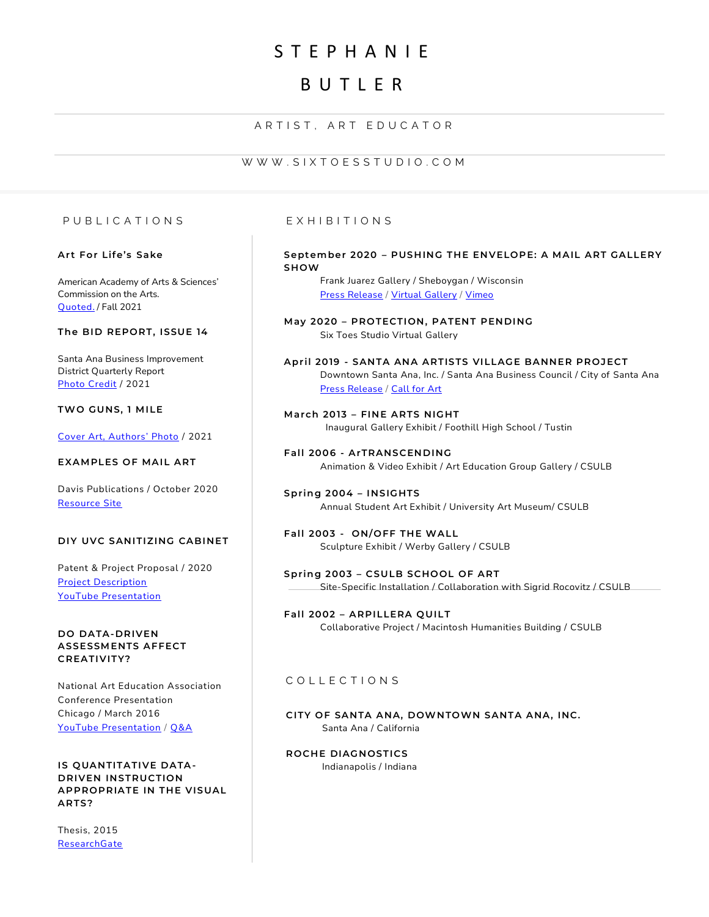# S T E P H A N I E

# B U T L E R

### ARTIST, ART EDUCATOR

#### W W W . S I X T O E S S T U D I O . C O M

#### P U B L I C A T I O N S

#### **Art For Life's Sake**

American Academy of Arts & Sciences' Commission on the Arts. [Quoted.](https://www.amacad.org/sites/default/files/publication/downloads/2021-Arts-for-Lifes-Sake.pdf) / Fall 2021

#### **The BID REPORT, ISSUE 14**

Santa Ana Business Improvement District Quarterly Report [Photo Credit](https://www.flipsnack.com/Diamondheartenterprises/the-bid-report-issue-14.html?mc_cid=e0b60cab03&mc_eid=858dbac637) / 2021

### **TWO GUNS, 1 MILE**

[Cover Art, Authors' Photo](https://www.amazon.com/Two-Guns-Mile-Thomas-Butler/dp/B0948JWQVX/ref=sr_1_1?dchild=1&keywords=Two+Guns,+1+Mile&qid=1620487120&s=books&sr=1-1) / 2021

#### **EXAM PLES OF MAIL ART**

Davis Publications / October 2020 [Resource Site](https://www.davisart.com/art-education-resources/examples-of-mail-art/)

#### **DIY UVC SANITIZING CABINET**

Patent & Project Proposal / 2020 [Project Description](http://bit.ly/UVCSanitizingCabinetDIYList) [YouTube Presentation](https://youtu.be/n6lOcovmpko)

#### **DO DATA-DRIVEN ASSESSM ENTS AFFECT CREATIVITY?**

National Art Education Association Conference Presentation Chicago / March 2016 [YouTube Presentation](https://youtu.be/rrf-YUnOvpY) / [Q&A](https://youtu.be/ElwC5j1OTb8)

#### **IS QUANTITATIVE DATA - DRIVEN INSTRUCTION APPROPRIATE IN THE VISUAL ARTS?**

Thesis, 2015 **[ResearchGate](https://www.researchgate.net/publication/277775562_Is_Quantitative_Data-Driven_Instruction_Appropriate_for_Visual_Arts)** 

#### E X H I B I T I O N S

#### **Sept ember 2020 – PUSHING THE ENVELOPE: A M AIL ART GALLERY SHOW**

Frank Juarez Gallery / Sheboygan / Wisconsin [Press Release](https://www.fjgmke.com/pushing-the-envelope-a-mail-art-gallery-show) / [Virtual Gallery](https://www.artsteps.com/view/5f503fc1dc78ee3346ac0c12) / [Vimeo](https://player.vimeo.com/video/449812914)

**M ay 20 20 – PROTECTION, PATENT PENDING** Six Toes Studio Virtual Gallery

**April 20 19 - SANTA ANA ARTISTS VILLAGE BANNER PROJECT** Downtown Santa Ana, Inc. / Santa Ana Business Council / City of Santa Ana [Press Release](https://www.santaanaarts.org/news/archives/04-2019) / [Call for Art](http://www.downtown-santaana.com/dtsa-artists-village-banners.html)

**M arch 20 13 – FINE ARTS NIGHT** Inaugural Gallery Exhibit / Foothill High School / Tustin

Fall 2006 - ArTRANSCENDING Animation & Video Exhibit / Art Education Group Gallery / CSULB

**Spring 2004 – INSIGHTS** Annual Student Art Exhibit / University Art Museum/ CSULB

**Fall 2003 - ON/OFF THE WALL** Sculpture Exhibit / Werby Gallery / CSULB

**Spring 2003 – CSULB SCHOOL OF ART** Site-Specific Installation / Collaboration with Sigrid Rocovitz / CSULB

**Fall 2002 – ARPILLERA QUILT** Collaborative Project / Macintosh Humanities Building / CSULB

#### C O L L E C T I O N S

**CITY OF SANTA ANA, DOWNTOWN SANTA ANA, INC.** Santa Ana / California

**ROCHE DIAGNOSTICS** Indianapolis / Indiana